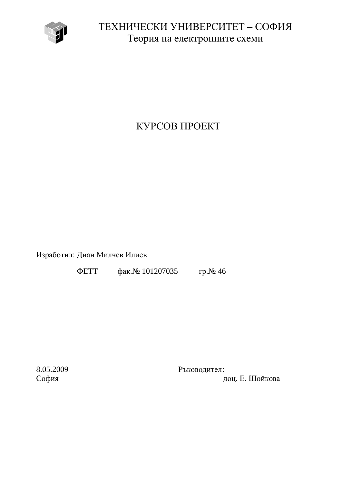

ТЕХНИЧЕСКИ УНИВЕРСИТЕТ – СОФИЯ Теория на електронните схеми

## КУРСОВ ПРОЕКТ

Изработил: Диан Милчев Илиев

ΦΕΤΤ φακ. Νο 101207035 гр. Νο 46

8.05.2009 Ръководител: София София и событь событь при технических поставких доц. Е. Шойкова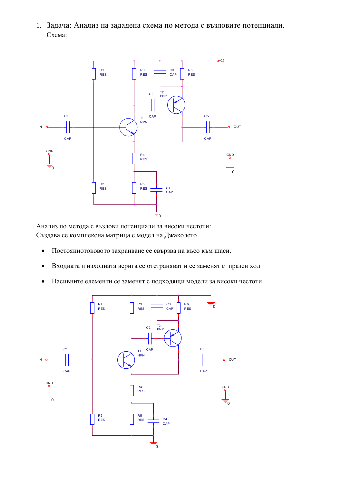1. Задача: Анализ на зададена схема по метода с възловите потенциали. Схема:



Анализ по метода с възлови потенциали за високи честоти: Създава се комплексна матрица с модел на Джаколето

- Постояннотоковото захранване се свързва на късо към шаси.
- Входната и изходната верига се отстраняват и се заменят с празен ход
- Пасивните елементи се заменят с подходящи модели за високи честоти

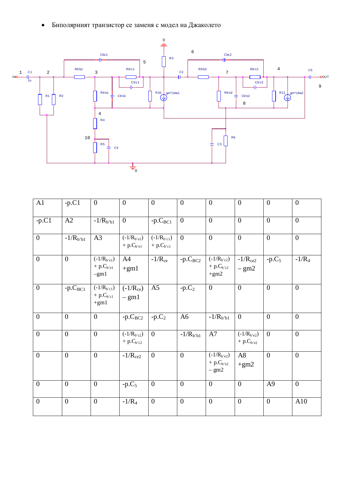• Биполярният транзистор се заменя с модел на Джаколето



| $\overline{A1}$ | $-p.C1$        | $\mathbf{0}$                                | $\overline{0}$                    | $\overline{0}$                 | $\overline{0}$   | $\boldsymbol{0}$                             | $\theta$                       | $\overline{0}$ | $\mathbf{0}$     |
|-----------------|----------------|---------------------------------------------|-----------------------------------|--------------------------------|------------------|----------------------------------------------|--------------------------------|----------------|------------------|
| $-p.C1$         | A2             | $-1/R_{b'b1}$                               | $\overline{0}$                    | $-p.CBC1$                      | $\overline{0}$   | $\mathbf{0}$                                 | $\overline{0}$                 | $\theta$       | $\boldsymbol{0}$ |
| $\overline{0}$  | $-1/R_{b'b1}$  | A3                                          | $(-1/R_{b'e1})$<br>$+ p.Cb'e1$    | $(-1/R_{b'cl})$<br>$+ p.Cb'cl$ | $\theta$         | $\mathbf{0}$                                 | $\theta$                       | $\overline{0}$ | $\mathbf{0}$     |
| $\overline{0}$  | $\overline{0}$ | $(-1/R_{b'e1})$<br>$+ p.C_{b'e1}$<br>$-gm1$ | A4<br>$+gm1$                      | $-1/R_{ce}$                    | $-p.C_{BC2}$     | $(-1/R_{b'c2})$<br>+ $p.C_{b'c2}$<br>$+gm2$  | $-1/R_{ce2}$<br>$-\text{gm2}$  | $-p.C5$        | $-1/R_4$         |
| $\overline{0}$  | $-p.C_{BC1}$   | $(-1/R_{b'cl})$<br>$+ p.Cb'cl$<br>$+gm1$    | $(-1/R_{ce})$<br>$-$ gm1          | A <sub>5</sub>                 | $-p.C2$          | $\mathbf{0}$                                 | $\overline{0}$                 | $\theta$       | $\overline{0}$   |
| $\overline{0}$  | $\overline{0}$ | $\boldsymbol{0}$                            | $-p.C_{BC2}$                      | $-p.C2$                        | A <sub>6</sub>   | $-1/R_{b'b1}$                                | $\overline{0}$                 | $\overline{0}$ | $\boldsymbol{0}$ |
| $\overline{0}$  | $\overline{0}$ | $\overline{0}$                              | $(-1/R_{b'c2})$<br>$+ p.C_{b'c2}$ | $\theta$                       | $-1/R_{b'b1}$    | A7                                           | $(-1/R_{b'e2})$<br>$+ p.Cb'e2$ | $\theta$       | $\overline{0}$   |
| $\overline{0}$  | $\Omega$       | $\overline{0}$                              | $-1/R_{ce2}$                      | $\overline{0}$                 | $\theta$         | $(-1/R_{b'e2})$<br>$+ p.C_{b'e2}$<br>$-$ gm2 | A8<br>$+gm2$                   | $\overline{0}$ | $\overline{0}$   |
| $\overline{0}$  | $\overline{0}$ | $\mathbf{0}$                                | $-p.C5$                           | $\mathbf{0}$                   | $\boldsymbol{0}$ | $\mathbf{0}$                                 | $\overline{0}$                 | A <sub>9</sub> | $\mathbf{0}$     |
| $\overline{0}$  | $\overline{0}$ | $\overline{0}$                              | $-1/R_4$                          | $\mathbf{0}$                   | $\mathbf{0}$     | $\mathbf{0}$                                 | $\mathbf{0}$                   | $\mathbf{0}$   | A10              |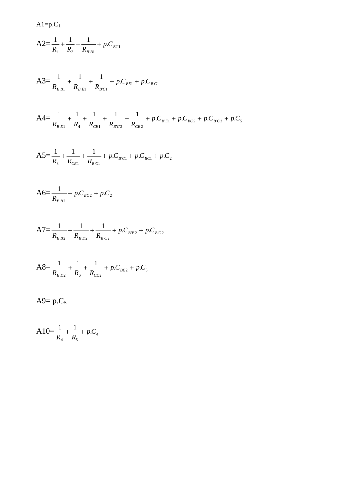$Al=p.C<sub>1</sub>$ 

$$
A2 = \frac{1}{R_1} + \frac{1}{R_2} + \frac{1}{R_{B'B1}} + p.C_{BC1}
$$

$$
A3 = \frac{1}{R_{B'B1}} + \frac{1}{R_{B'E1}} + \frac{1}{R_{B'C1}} + p.C_{BE1} + p.C_{B'C1}
$$

$$
A4 = \frac{1}{R_{B'E1}} + \frac{1}{R_4} + \frac{1}{R_{CE1}} + \frac{1}{R_{BC2}} + \frac{1}{R_{CE2}} + p.C_{B'E1} + p.C_{BC2} + p.C_{BC2} + p.C_5
$$

$$
A5 = \frac{1}{R_3} + \frac{1}{R_{CE1}} + \frac{1}{R_{BC1}} + p.C_{BC1} + p.C_{BC1} + p.C_2
$$

$$
A6 = \frac{1}{R_{B'B2}} + p.C_{BC2} + p.C_2
$$

$$
A7 = \frac{1}{R_{B'B2}} + \frac{1}{R_{B'E2}} + \frac{1}{R_{B'C2}} + p.C_{B'E2} + p.C_{B'C2}
$$

$$
AS = \frac{1}{R_{BE2}} + \frac{1}{R_6} + \frac{1}{R_{CE2}} + p.C_{BE2} + p.C_3
$$

A9=  $p.C_5$ 

$$
A10 = \frac{1}{R_4} + \frac{1}{R_5} + p.C_4
$$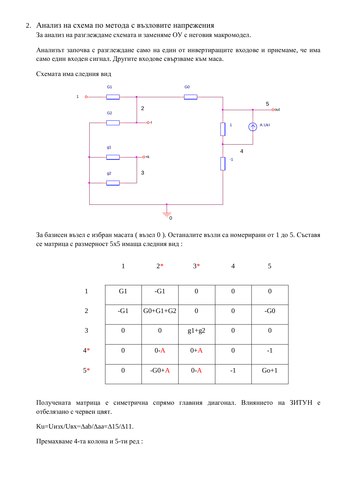## 2. Анализ на схема по метода с възловите напрежения

За анализ на разглеждаме схемата и заменяме ОУ с неговия макромодел.

Анализът започва с разглеждане само на един от инвертиращите входове и приемаме, че има само един входен сигнал. Другите входове свързваме към маса.

Схемата има следния вид



За базисен възел е избран масата (възел 0). Останалите възли са номерирани от 1 до 5. Съставя се матрица с размерност 5х5 имаща следния вид:

|                | $\mathbf{1}$   | $2*$             | $3*$             | $\overline{4}$ | 5                |
|----------------|----------------|------------------|------------------|----------------|------------------|
| 1              | G1             | $-G1$            | $\boldsymbol{0}$ | $\overline{0}$ | $\boldsymbol{0}$ |
| $\overline{2}$ | $-G1$          | $G0+G1+G2$       | $\boldsymbol{0}$ | $\overline{0}$ | $-G0$            |
| 3              | $\overline{0}$ | $\boldsymbol{0}$ | $g1+g2$          | $\overline{0}$ | 0                |
| $4*$           | $\overline{0}$ | $0-A$            | $0+A$            | $\overline{0}$ | $-1$             |
| $5*$           | $\overline{0}$ | $-G0+A$          | $0-A$            | $-1$           | $Go+1$           |

Получената матрица е симетрична спрямо главния диагонал. Влиянието на ЗИТУН е отбелязано с червен цвят.

Ku=U $\mu$ 3x/UBx= $\Delta$ ab/ $\Delta$ aa= $\Delta$ 15/ $\Delta$ 11.

Премахваме 4-та колона и 5-ти ред: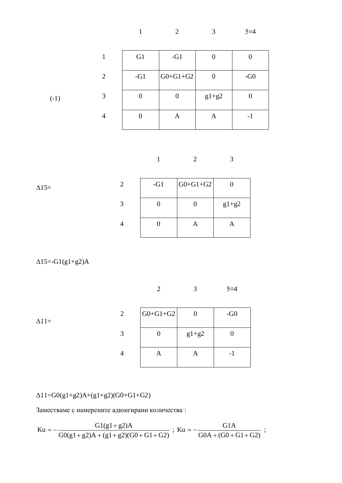1 2 3  $5\equiv 4$ 

|        |   | G1    | $-G1$      |                  |       |
|--------|---|-------|------------|------------------|-------|
|        | 2 | $-G1$ | $G0+G1+G2$ | $\boldsymbol{0}$ | $-G0$ |
| $(-1)$ | 3 |       | 0          | $g1+g2$          |       |
|        |   |       | A          | A                | - 1   |

$$
1 \qquad \qquad 2 \qquad \qquad 3
$$

| $\Delta$ 15= | $-G1$ | $G0+G1+G2$ |         |
|--------------|-------|------------|---------|
|              |       |            | $g1+g2$ |
|              |       | A          | A       |

 $\Delta$ 15=-G1(g1+g2)A

$$
2 \qquad \qquad 3 \qquad \qquad 5 \equiv 4
$$

 $\Delta$ 11=

| 2 | $G0+G1+G2$ |         | $-G0$ |
|---|------------|---------|-------|
| 3 |            | $g1+g2$ |       |
| 4 |            |         |       |

 $\Delta 11 = G0(g1 + g2)A + (g1 + g2)(G0 + G1 + G2)$ 

Заместваме с намерените адюнгирани количества:

$$
Ku = -\frac{G1(g1 + g2)A}{G0(g1 + g2)A + (g1 + g2)(G0 + G1 + G2)} \ ; \ Ku = -\frac{G1A}{G0A + (G0 + G1 + G2)} \ ;
$$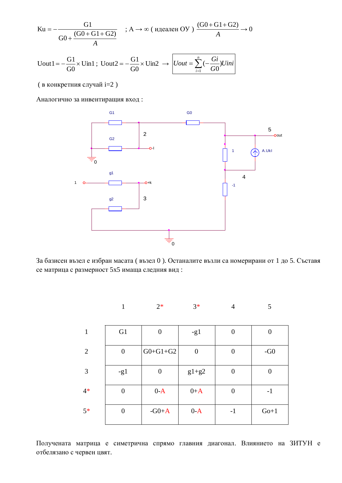$$
\text{Ku} = -\frac{\text{G1}}{\text{G0} + \frac{(\text{G0} + \text{G1} + \text{G2})}{A}} \quad ; \text{A} \to \infty \text{ (hdeanen OY)} \text{ (}\frac{\text{(G0} + \text{G1} + \text{G2})}{A} \to 0
$$

$$
\text{Uout1} = -\frac{\text{G1}}{\text{G0}} \times \text{Uin1}; \text{Uout2} = -\frac{\text{G1}}{\text{G0}} \times \text{Uin2} \rightarrow \boxed{\text{Uout} = \sum_{i=1}^{n} (-\frac{\text{Gi}}{\text{G0}}) \text{Uini}}
$$

( в конкретния случай i=2)

Аналогично за инвентиращия вход:



За базисен възел е избран масата (възел 0). Останалите възли са номерирани от 1 до 5. Съставя се матрица с размерност 5x5 имаща следния вид:

|                |                  | $2*$             | $3*$             | $\overline{4}$   | 5              |
|----------------|------------------|------------------|------------------|------------------|----------------|
| $\mathbf{1}$   | G1               | $\boldsymbol{0}$ | $-g1$            | $\overline{0}$   | $\overline{0}$ |
| $\overline{2}$ | $\boldsymbol{0}$ | $G0+G1+G2$       | $\boldsymbol{0}$ | $\boldsymbol{0}$ | $-G0$          |
| $\mathfrak{Z}$ | $-g1$            | $\boldsymbol{0}$ | $g1+g2$          | $\overline{0}$   | $\overline{0}$ |
| $4*$           | $\overline{0}$   | $0-A$            | $0+A$            | $\overline{0}$   | $-1$           |
| $5*$           | $\overline{0}$   | $-G0+A$          | $0-A$            | $-1$             | $Go+1$         |

Получената матрица е симетрична спрямо главния диагонал. Влиянието на ЗИТУН е отбелязано с червен цвят.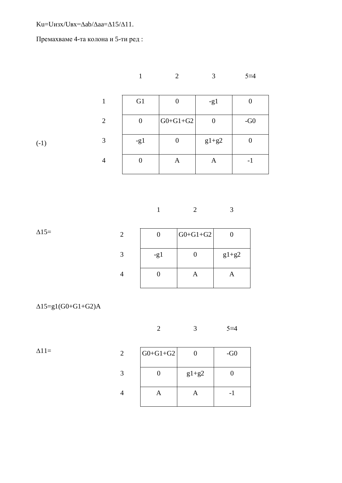$Ku=U$ *w*3x/ $U$ Bx= $\Delta$ ab/ $\Delta$ aa= $\Delta$ 15/ $\Delta$ 11.

Премахваме 4-та колона и 5-ти ред:

|                                 |                |                | $\,1\,$          |                  | $\overline{2}$   | $\mathfrak{Z}$   |                  | $5=4$             |  |
|---------------------------------|----------------|----------------|------------------|------------------|------------------|------------------|------------------|-------------------|--|
|                                 | $\mathbf 1$    |                | G1               |                  | $\boldsymbol{0}$ | $-g1$            |                  | $\boldsymbol{0}$  |  |
|                                 | $\sqrt{2}$     |                | $\boldsymbol{0}$ |                  | $G0+G1+G2$       | $\boldsymbol{0}$ |                  | -G0 $\,$          |  |
| $(-1)$                          | $\mathfrak{Z}$ |                | $-g1$            |                  | $\boldsymbol{0}$ | $g1+g2$          |                  | $\boldsymbol{0}$  |  |
|                                 | $\overline{4}$ |                | $\boldsymbol{0}$ |                  | $\mathbf A$      | $\mathbf A$      |                  | $\textnormal{-}1$ |  |
|                                 |                |                |                  |                  |                  |                  |                  |                   |  |
|                                 |                |                |                  | $\mathbf 1$      | $\sqrt{2}$       |                  | $\mathfrak{Z}$   |                   |  |
| $\Delta15=$                     |                | $\overline{c}$ |                  | $\boldsymbol{0}$ | $G0+G1+G2$       |                  | $\boldsymbol{0}$ |                   |  |
|                                 |                | $\overline{3}$ | $-g1$            |                  | $\boldsymbol{0}$ |                  | $g1+g2$          |                   |  |
|                                 |                | $\overline{4}$ |                  | $\boldsymbol{0}$ | $\mathbf A$      |                  | $\mathbf A$      |                   |  |
| $\Delta 15 = g1(G0 + G1 + G2)A$ |                |                |                  |                  |                  |                  |                  |                   |  |

2 3  $5=4$ 

 $\Delta$ 11=

| 2 | $G0+G1+G2$ |         | $-G0$ |
|---|------------|---------|-------|
| 3 |            | $g1+g2$ |       |
| 4 |            |         | - 1   |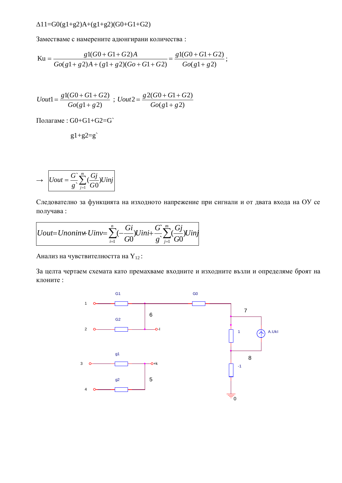$\Delta$ 11=G0(g1+g2)A+(g1+g2)(G0+G1+G2)

Заместваме с намерените адюнгирани количества:

$$
\text{Ku} = \frac{g1(G0+G1+G2)A}{Go(g1+g2)A+(g1+g2)(Go+G1+G2)} = \frac{g1(G0+G1+G2)}{Go(g1+g2)};
$$

$$
Uout1 = \frac{g1(G0+G1+G2)}{Go(g1+g2)} \; ; \; Uout2 = \frac{g2(G0+G1+G2)}{Go(g1+g2)}
$$

Полагаме: G0+G1+G2=G`

$$
g1+g2=g'
$$

$$
\rightarrow \left[Uout = \frac{G}{g}\sum_{j=1}^{m}\left(\frac{Gj}{G0}\right)Uinj\right]
$$

Следователно за функцията на изходното напрежение при сигнали и от двата входа на ОУ се получава:

$$
Uout=Unonin\mathcal{H} \text{ }Uinv = \sum_{i=1}^{n}(-\frac{Gi}{G0})Uini+\frac{G}{g}\sum_{j=1}^{m}(\frac{Gj}{G0})Uinj
$$

Анализ на чувствителността на  $Y_{12}$ :

За целта чертаем схемата като премахваме входните и изходните възли и определяме броят на клоните:

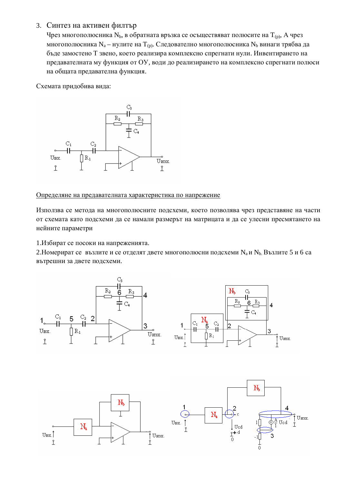## 3. Синтез на активен филтър

Чрез многополюсника N<sub>b</sub>, в обратната връзка се осъществяват полюсите на  $T_{(p)}$ , А чрез многополюсника N<sub>a</sub> – нулите на Т<sub>(р)</sub>. Следователно многополюсника N<sub>b</sub> винаги трябва да бъде замостено Т звено, което реализира комплексно спрегнати нули. Инвентирането на предавателната му функция от ОУ, води до реализирането на комплексно спрегнати полюси на общата предавателна функция.

Схемата придобива вида:



Определяне на предавателната характеристика по напрежение

Използва се метода на многополюсните подсхеми, което позволява чрез представяне на части от схемата като подсхеми да се намали размерът на матрицата и да се улесни пресмятането на нейните параметри

1.Избират се посоки на напреженията.

2. Номерират се възлите и се отделят двете многополюсни подсхеми  $N_a$ и  $N_b$ . Възлите 5 и 6 са вътрешни за двете подсхеми.

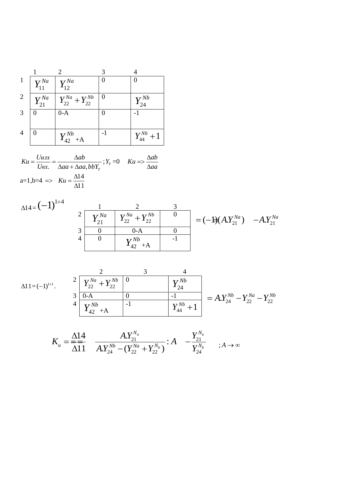|                |                        | $\mathcal{D}_{\mathcal{L}}$ |          |                   |
|----------------|------------------------|-----------------------------|----------|-------------------|
| $\mathbf{1}$   | $Y_{11}^{Na}$          | $Y_{12}^{Na}$               | 0        |                   |
| $\overline{2}$ | $Y_{21}^{\mathit{Na}}$ | $Y_{22}^{Na}+Y_{22}^{Nb}$   | $\theta$ | $Y_{24}^{Nb}$     |
| 3              |                        | $0-A$                       |          |                   |
| $\overline{4}$ |                        | $Y_{42}^{Nb}$ +A            | $-1$     | $Y_{44}^{Nb}$ + 1 |

$$
Ku = \frac{Uu3x}{U\omega x} = \frac{\Delta ab}{\Delta aa + \Delta aa, bbY_T}; Y_T = 0 \quad Ku \Rightarrow \frac{\Delta ab}{\Delta aa}
$$
  
a=1,b=4 \Rightarrow Ku =  $\frac{\Delta 14}{\Delta 11}$ 

 $\Delta 11 = (-1)^{1+1}$ .

$$
\begin{array}{c|c}\n2 & 3 & 4 \\
\hline\n2 & Y_{22}^{Na} + Y_{22}^{Nb} & 0 \\
\hline\n3 & 0-A & 0 & -1 \\
4 & Y_{42}^{Nb} + A & -1\n\end{array}\n\begin{array}{c|c}\nX^{Nb} \\
\hline\nY_{44}^{Nb} + 1\n\end{array}\n=\nA. Y_{24}^{Nb} - Y_{22}^{Na} - Y_{22}^{Nb} \\
\hline\n\end{array}
$$

$$
K_{u} = \frac{\Delta 14}{\Delta 11} \quad \frac{A.Y_{21}^{N_a}}{A.Y_{24}^{N_b} - (Y_{22}^{N_a} + Y_{22}^{N_b})} : A \quad -\frac{Y_{21}^{N_a}}{Y_{24}^{N_b}} \qquad ; A \to \infty
$$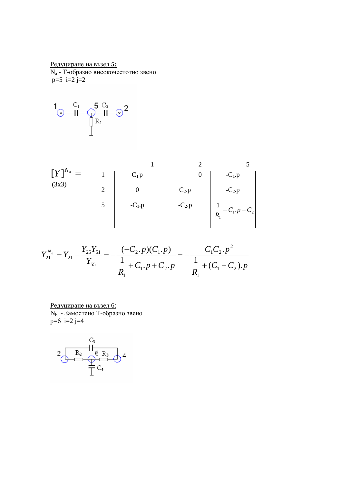Редуциране на възел 5: N<sub>a</sub> - Т-образно високочестотно звено  $p=5$  i=2 j=2



| $[Y]^{N_a} =$ |   | $C_{1}$ . $p$ |          | $-C_1.p$                            |
|---------------|---|---------------|----------|-------------------------------------|
| (3x3)         | 2 |               | $C_2.p$  | $-C_2.p$                            |
|               |   | $-C_1.p$      | $-C_2.p$ | $\frac{1}{R_1} + C_1 \cdot p + C_2$ |

$$
Y_{21}^{N_a} = Y_{21} - \frac{Y_{25}Y_{51}}{Y_{55}} = -\frac{(-C_2 \cdot p)(C_1 \cdot p)}{\frac{1}{R_1} + C_1 \cdot p + C_2 \cdot p} = -\frac{C_1C_2 \cdot p^2}{\frac{1}{R_1} + (C_1 + C_2) \cdot p}
$$

Редуциране на възел 6:<br>N<sub>b</sub> - Замостено Т-образно звено  $p=6$  i=2 j=4